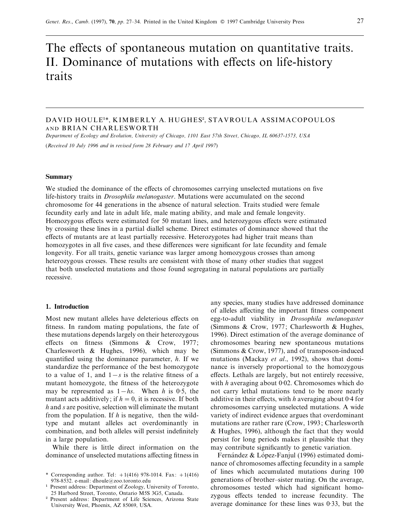# The effects of spontaneous mutation on quantitative traits. II. Dominance of mutations with effects on life-history traits

# DAVID HOULE<sup>1\*</sup>, KIMBERLY A. HUGHES<sup>2</sup>, STAVROULA ASSIMACOPOULOS AND BRIAN CHARLESWORTH

*Department of Ecology and Eolution, Uniersity of Chicago, 1101 East 57th Street, Chicago, IL 60637-1573, USA* (*Receied 10 July 1996 and in reised form 28 February and 17 April 1997*)

#### **Summary**

We studied the dominance of the effects of chromosomes carrying unselected mutations on five life-history traits in *Drosophila melanogaster*. Mutations were accumulated on the second chromosome for 44 generations in the absence of natural selection. Traits studied were female fecundity early and late in adult life, male mating ability, and male and female longevity. Homozygous effects were estimated for 50 mutant lines, and heterozygous effects were estimated by crossing these lines in a partial diallel scheme. Direct estimates of dominance showed that the effects of mutants are at least partially recessive. Heterozygotes had higher trait means than homozygotes in all five cases, and these differences were significant for late fecundity and female longevity. For all traits, genetic variance was larger among homozygous crosses than among heterozygous crosses. These results are consistent with those of many other studies that suggest that both unselected mutations and those found segregating in natural populations are partially recessive.

## **1. Introduction**

Most new mutant alleles have deleterious effects on fitness. In random mating populations, the fate of these mutations depends largely on their heterozygous effects on fitness (Simmons & Crow, 1977; Charlesworth & Hughes, 1996), which may be quantified using the dominance parameter, *h*. If we standardize the performance of the best homozygote to a value of 1, and  $1 - s$  is the relative fitness of a mutant homozygote, the fitness of the heterozygote may be represented as  $1-hs$ . When *h* is 0.5, the mutant acts additively; if  $h = 0$ , it is recessive. If both *h* and *s* are positive, selection will eliminate the mutant from the population. If *h* is negative, then the wildtype and mutant alleles act overdominantly in combination, and both alleles will persist indefinitely in a large population.

While there is little direct information on the dominance of unselected mutations affecting fitness in any species, many studies have addressed dominance of alleles affecting the important fitness component egg-to-adult viability in *Drosophila melanogaster* (Simmons & Crow, 1977; Charlesworth & Hughes, 1996). Direct estimation of the average dominance of chromosomes bearing new spontaneous mutations (Simmons & Crow, 1977), and of transposon-induced mutations (Mackay *et al*., 1992), shows that dominance is inversely proportional to the homozygous effects. Lethals are largely, but not entirely recessive, with *h* averaging about 0<sup>.</sup>02. Chromosomes which do not carry lethal mutations tend to be more nearly additive in their effects, with *h* averaging about 0±4 for chromosomes carrying unselected mutations. A wide variety of indirect evidence argues that overdominant mutations are rather rare (Crow, 1993; Charlesworth & Hughes, 1996), although the fact that they would persist for long periods makes it plausible that they may contribute significantly to genetic variation.

Fernández & López-Fanjul (1996) estimated dominance of chromosomes affecting fecundity in a sample of lines which accumulated mutations during 100 generations of brother–sister mating. On the average, chromosomes tested which had significant homozygous effects tended to increase fecundity. The average dominance for these lines was  $0.33$ , but the

<sup>\*</sup> Corresponding author. Tel:  $+1(416)$  978-1014. Fax:  $+1(416)$ 978-8532. e-mail: dhoule@zoo.toronto.edu

<sup>&</sup>quot; Present address: Department of Zoology, University of Toronto, 25 Harbord Street, Toronto, Ontario M5S 3G5, Canada.

<sup>25</sup> Harbord Street, Toronto, Ontario M58 3G5, Canada.<br><sup>2</sup> Present address: Department of Life Sciences, Arizona State University West, Phoenix, AZ 85069, USA.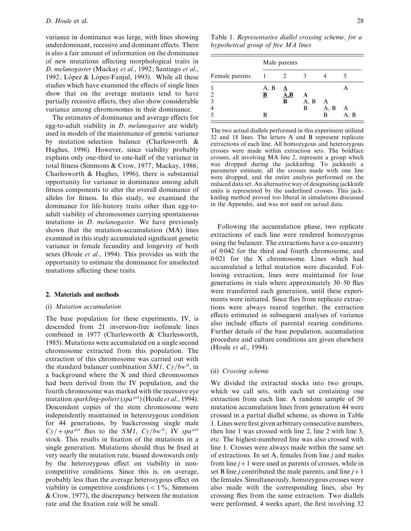variance in dominance was large, with lines showing underdominant, recessive and dominant effects. There is also a fair amount of information on the dominance of new mutations affecting morphological traits in *D*. *melanogaster* (Mackay *et al*., 1992; Santiago *et al*., 1992; López & López-Fanjul, 1993). While all these studies which have examined the effects of single lines show that on the average mutants tend to have partially recessive effects, they also show considerable variance among chromosomes in their dominance.

The estimates of dominance and average effects for egg-to-adult viability in *D*. *melanogaster* are widely used in models of the maintenance of genetic variance by mutation–selection balance (Charlesworth & Hughes, 1996). However, since viability probably explains only one-third to one-half of the variance in total fitness (Simmons & Crow, 1977; Mackay, 1986; Charlesworth & Hughes, 1996), there is substantial opportunity for variance in dominance among adult fitness components to alter the overall dominance of alleles for fitness. In this study, we examined the dominance for life-history traits other than egg-toadult viability of chromosomes carrying spontaneous mutations in *D*. *melanogaster*. We have previously shown that the mutation-accumulation (MA) lines examined in this study accumulated significant genetic variance in female fecundity and longevity of both sexes (Houle *et al*., 1994). This provides us with the opportunity to estimate the dominance for unselected mutations affecting these traits.

#### **2. Materials and methods**

## (i) *Mutation accumulation*

The base population for these experiments, IV, is descended from 21 inversion-free isofemale lines combined in 1977 (Charlesworth & Charlesworth, 1985). Mutations were accumulated on a single second chromosome extracted from this population. The extraction of this chromosome was carried out with the standard balancer combination *SM1, Cy*/*bw*<sup>*D*</sup>, in a background where the X and third chromosomes had been derived from the IV population, and the fourth chromosome was marked with the recessive eye mutation *sparkling*-*poliert* (*spapol*) (Houle *et al*., 1994). Descendant copies of the stem chromosome were independently maintained in heterozygous condition for 44 generations, by backcrossing single male  $Cy$  $+$  *spa*<sup>*pol*</sup> flies to the *SM*<sup>1</sup>,  $Cy/bw<sup>D</sup>$ ; IV *spa*<sup>*pol*</sup> stock. This results in fixation of the mutations in a single generation. Mutations should thus be fixed at very nearly the mutation rate, biased downwards only by the heterozygous effect on viability in noncompetitive conditions. Since this is, on average, probably less than the average heterozygous effect on viability in competitive conditions  $(< 1\%$ , Simmons & Crow, 1977), the discrepancy between the mutation rate and the fixation rate will be small.

Table 1. *Representatie diallel crossing scheme, for a hypothetical group of fie MA lines*

|                | Male parents |                         |      |      |      |  |  |
|----------------|--------------|-------------------------|------|------|------|--|--|
| Female parents |              |                         |      |      |      |  |  |
| 1              | A, B         | A                       |      |      |      |  |  |
| $\overline{2}$ | В            | $\mathbf{A},\mathbf{B}$ | A    |      |      |  |  |
| 3              |              | B                       | A, B | A    |      |  |  |
| $\overline{4}$ |              |                         | B    | A, B | Α    |  |  |
| 5              | в            |                         |      | B    | A, B |  |  |

The two actual diallels performed in this experiment utilized 32 and 18 lines. The letters A and B represent replicate extractions of each line. All homozygous and heterozygous crosses were made within extraction sets. The boldface crosses, all involving MA line 2, represent a group which was dropped during the jackknifing. To jackknife a parameter estimate, all the crosses made with one line were dropped, and the entire analysis performed on the reduced data set. An alternative way of designating jackknife units is represented by the underlined crosses. This jackknifing method proved too liberal in simulations discussed in the Appendix, and was not used on actual data.

Following the accumulation phase, two replicate extractions of each line were rendered homozygous using the balancer. The extractions have a co-ancestry of 0±042 for the third and fourth chromosome, and 0±021 for the X chromosome. Lines which had accumulated a lethal mutation were discarded. Following extraction, lines were maintained for four generations in vials where approximately 30–50 flies were transferred each generation, until these experiments were initiated. Since flies from replicate extractions were always reared together, the extraction effects estimated in subsequent analyses of variance also include effects of parental rearing conditions. Further details of the base population, accumulation procedure and culture conditions are given elsewhere (Houle *et al*., 1994).

#### (ii) *Crossing scheme*

We divided the extracted stocks into two groups, which we call sets, with each set containing one extraction from each line. A random sample of 50 mutation accumulation lines from generation 44 were crossed in a partial diallel scheme, as shown in Table 1. Lines were first given arbitrary consecutive numbers, then line 1 was crossed with line 2, line 2 with line 3, etc. The highest-numbered line was also crossed with line 1. Crosses were always made within the same set of extractions. In set A, females from line *j* and males from line  $j+1$  were used as parents of crosses, while in set B line *j* contributed the male parents, and line  $j+1$ the females. Simultaneously, homozygous crosses were also made with the corresponding lines, also by crossing flies from the same extraction. Two diallels were performed, 4 weeks apart, the first involving 32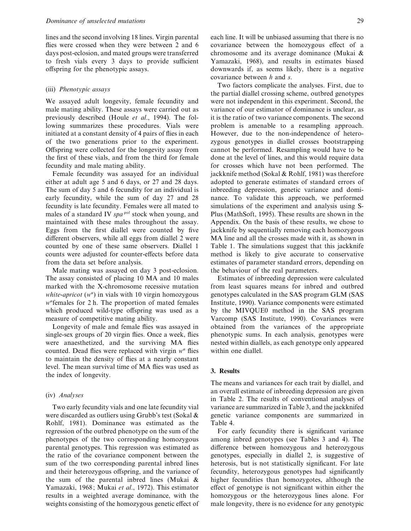lines and the second involving 18 lines. Virgin parental flies were crossed when they were between 2 and 6 days post-eclosion, and mated groups were transferred to fresh vials every 3 days to provide sufficient offspring for the phenotypic assays.

#### (iii) *Phenotypic assays*

We assayed adult longevity, female fecundity and male mating ability. These assays were carried out as previously described (Houle *et al*., 1994). The following summarizes these procedures. Vials were initiated at a constant density of 4 pairs of flies in each of the two generations prior to the experiment. Offspring were collected for the longevity assay from the first of these vials, and from the third for female fecundity and male mating ability.

Female fecundity was assayed for an individual either at adult age 5 and 6 days, or 27 and 28 days. The sum of day 5 and 6 fecundity for an individual is early fecundity, while the sum of day 27 and 28 fecundity is late fecundity. Females were all mated to males of a standard IV *spapol* stock when young, and maintained with these males throughout the assay. Eggs from the first diallel were counted by five different observers, while all eggs from diallel 2 were counted by one of these same observers. Diallel 1 counts were adjusted for counter-effects before data from the data set before analysis.

Male mating was assayed on day 3 post-eclosion. The assay consisted of placing 10 MA and 10 males marked with the X-chromosome recessive mutation *white*-*apricot* (*wa*) in vials with 10 virgin homozygous *wa*females for 2 h. The proportion of mated females which produced wild-type offspring was used as a measure of competitive mating ability.

Longevity of male and female flies was assayed in single-sex groups of 20 virgin flies. Once a week, flies were anaesthetized, and the surviving MA flies counted. Dead flies were replaced with virgin *wa* flies to maintain the density of flies at a nearly constant level. The mean survival time of MA flies was used as the index of longevity.

### (iv) *Analyses*

Two early fecundity vials and one late fecundity vial were discarded as outliers using Grubb's test (Sokal & Rohlf, 1981). Dominance was estimated as the regression of the outbred phenotype on the sum of the phenotypes of the two corresponding homozygous parental genotypes. This regression was estimated as the ratio of the covariance component between the sum of the two corresponding parental inbred lines and their heterozygous offspring, and the variance of the sum of the parental inbred lines (Mukai & Yamazaki, 1968; Mukai *et al*., 1972). This estimator results in a weighted average dominance, with the weights consisting of the homozygous genetic effect of each line. It will be unbiased assuming that there is no covariance between the homozygous effect of a chromosome and its average dominance (Mukai & Yamazaki, 1968), and results in estimates biased downwards if, as seems likely, there is a negative covariance between *h* and *s*.

Two factors complicate the analyses. First, due to the partial diallel crossing scheme, outbred genotypes were not independent in this experiment. Second, the variance of our estimator of dominance is unclear, as it is the ratio of two variance components. The second problem is amenable to a resampling approach. However, due to the non-independence of heterozygous genotypes in diallel crosses bootstrapping cannot be performed. Resampling would have to be done at the level of lines, and this would require data for crosses which have not been performed. The jackknife method (Sokal & Rohlf, 1981) was therefore adopted to generate estimates of standard errors of inbreeding depression, genetic variance and dominance. To validate this approach, we performed simulations of the experiment and analysis using S-Plus (MathSoft, 1995). These results are shown in the Appendix. On the basis of these results, we chose to jackknife by sequentially removing each homozygous MA line and all the crosses made with it, as shown in Table 1. The simulations suggest that this jackknife method is likely to give accurate to conservative estimates of parameter standard errors, depending on the behaviour of the real parameters.

Estimates of inbreeding depression were calculated from least squares means for inbred and outbred genotypes calculated in the SAS program GLM (SAS Institute, 1990). Variance components were estimated by the MIVQUE0 method in the SAS program Varcomp (SAS Institute, 1990). Covariances were obtained from the variances of the appropriate phenotypic sums. In each analysis, genotypes were nested within diallels, as each genotype only appeared within one diallel.

#### **3. Results**

The means and variances for each trait by diallel, and an overall estimate of inbreeding depression are given in Table 2. The results of conventional analyses of variance are summarized in Table 3, and the jackknifed genetic variance components are summarized in Table 4.

For early fecundity there is significant variance among inbred genotypes (see Tables 3 and 4). The difference between homozygous and heterozygous genotypes, especially in diallel 2, is suggestive of heterosis, but is not statistically significant. For late fecundity, heterozygous genotypes had significantly higher fecundities than homozygotes, although the effect of genotype is not significant within either the homozygous or the heterozygous lines alone. For male longevity, there is no evidence for any genotypic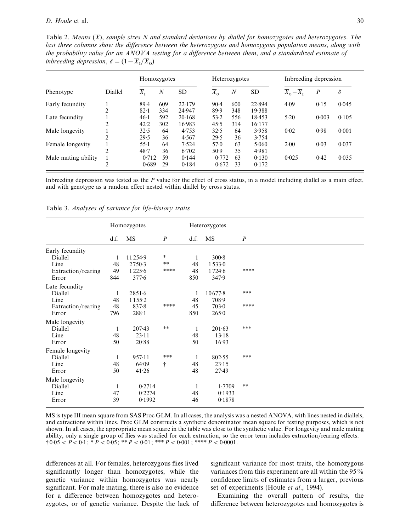Table 2. *Means* (*X*), *sample sizes N and standard deiations by diallel for homozygotes and heterozygotes*. *The last three columns show the difference between the heterozygous and homozygous population means*, *along with the probability alue for an ANOVA testing for a difference between them*, *and a standardized estimate of inbreeding depression,*  $\delta = (1 - \overline{X}_I / \overline{X}_0)$ 

|                     | Diallel        |                | Homozygotes      |           |                             | Heterozygotes    |           |                                       | Inbreeding depression |          |  |
|---------------------|----------------|----------------|------------------|-----------|-----------------------------|------------------|-----------|---------------------------------------|-----------------------|----------|--|
| Phenotype           |                | $\overline{X}$ | $\boldsymbol{N}$ | <b>SD</b> | $\overline{X}_{\mathrm{o}}$ | $\boldsymbol{N}$ | <b>SD</b> | $\overline{X}_{0} - \overline{X}_{1}$ | $\boldsymbol{P}$      | $\delta$ |  |
| Early fecundity     |                | $89-4$         | 609              | 22.179    | $90-4$                      | 600              | 22.894    | 4.09                                  | 0.15                  | 0.045    |  |
|                     | ↑<br>∠         | $82 - 1$       | 334              | 24.947    | 89.9                        | 348              | 19.388    |                                       |                       |          |  |
| Late fecundity      |                | 46.1           | 592              | 20.168    | 53.2                        | 556              | 18.453    | 5.20                                  | 0.003                 | 0.105    |  |
|                     | ↑              | 42.2           | 302              | 16.983    | 45.5                        | 314              | 16.177    |                                       |                       |          |  |
| Male longevity      |                | 32.5           | 64               | 4.753     | 32.5                        | 64               | 3.958     | 0.02                                  | 0.98                  | 0.001    |  |
|                     | ↑              | 29.5           | 36               | 4.567     | 29.5                        | 36               | 3.754     |                                       |                       |          |  |
| Female longevity    |                | $55-1$         | 64               | 7.524     | 57.0                        | 63               | 5.060     | 2.00                                  | 0.03                  | 0.037    |  |
|                     | $\overline{2}$ | 48.7           | 36               | 6.702     | $50-9$                      | 35               | 4.981     |                                       |                       |          |  |
| Male mating ability |                | 0.712          | 59               | 0.144     | 0.772                       | 63               | 0.130     | 0.025                                 | 0.42                  | 0.035    |  |
|                     | $\overline{c}$ | 0.689          | 29               | 0.184     | 0.672                       | 33               | 0.172     |                                       |                       |          |  |

Inbreeding depression was tested as the *P* value for the effect of cross status, in a model including diallel as a main effect, and with genotype as a random effect nested within diallel by cross status.

|                    |      | Homozygotes |                  |      | Heterozygotes |                  |
|--------------------|------|-------------|------------------|------|---------------|------------------|
|                    | d.f. | <b>MS</b>   | $\boldsymbol{P}$ | d.f. | MS            | $\boldsymbol{P}$ |
| Early fecundity    |      |             |                  |      |               |                  |
| Diallel            | 1    | 11254.9     | $\ast$           | 1    | $300 - 8$     |                  |
| Line               | 48   | 2750.3      | $\ast$ $\ast$    | 48   | 15330         |                  |
| Extraction/rearing | 49   | 1225.6      | ****             | 48   | 1724.6        | ****             |
| Error              | 844  | 377.6       |                  | 850  | 347.9         |                  |
| Late fecundity     |      |             |                  |      |               |                  |
| Diallel            | 1    | 2851.6      |                  | 1    | 10677.8       | ***              |
| Line               | 48   | $1155-2$    |                  | 48   | 708.9         |                  |
| Extraction/rearing | 48   | $837 - 8$   | ****             | 45   | 703.0         | ****             |
| Error              | 796  | $288 - 1$   |                  | 850  | 265.0         |                  |
| Male longevity     |      |             |                  |      |               |                  |
| Diallel            | 1    | $207-43$    | $**$             | 1    | 201.63        | ***              |
| Line               | 48   | 23.11       |                  | 48   | 13.18         |                  |
| Error              | 50   | 20.88       |                  | 50   | 16.93         |                  |
| Female longevity   |      |             |                  |      |               |                  |
| Diallel            | 1    | 957.11      | ***              | 1    | 802.55        | ***              |
| Line               | 48   | 64.09       | t                | 48   | 23.15         |                  |
| Error              | 50   | 41.26       |                  | 48   | $27-49$       |                  |
| Male longevity     |      |             |                  |      |               |                  |
| Diallel            | 1    | 0.2714      |                  | 1    | 1.7709        | $***$            |
| Line               | 47   | 0.2274      |                  | 48   | 0.1933        |                  |
| Error              | 39   | 0.1992      |                  | 46   | 0.1878        |                  |

Table 3. *Analyses of ariance for life-history traits*

MS is type III mean square from SAS Proc GLM. In all cases, the analysis was a nested ANOVA, with lines nested in diallels, and extractions within lines. Proc GLM constructs a synthetic denominator mean square for testing purposes, which is not shown. In all cases, the appropriate mean square in the table was close to the synthetic value. For longevity and male mating ability, only a single group of flies was studied for each extraction, so the error term includes extraction/rearing effects.  $\dagger 0.05 < P < 0.1$ ;  $\ast P < 0.05$ ;  $\ast \ast P < 0.01$ ;  $\ast \ast \ast P < 0.001$ ;  $\ast \ast \ast P < 0.0001$ .

differences at all. For females, heterozygous flies lived significantly longer than homozygotes, while the genetic variance within homozygotes was nearly significant. For male mating, there is also no evidence for a difference between homozygotes and heterozygotes, or of genetic variance. Despite the lack of significant variance for most traits, the homozygous variances from this experiment are all within the 95% confidence limits of estimates from a larger, previous set of experiments (Houle *et al*., 1994).

Examining the overall pattern of results, the difference between heterozygotes and homozygotes is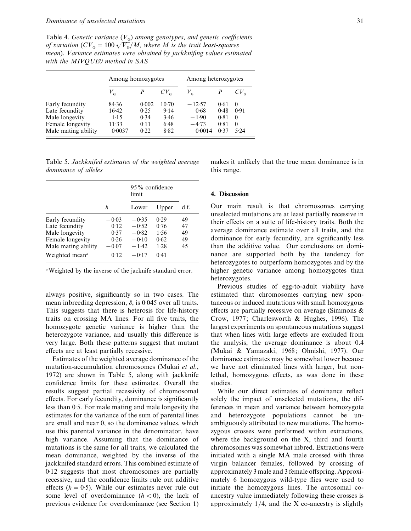Table 4. *Genetic variance*  $(V<sub>G</sub>)$  *among genotypes, and genetic coefficients of variation*  $(CV_{\text{G}} = 100\sqrt{V_{\text{G}}}/M$ , where M is the trait least-squares *mean*). Variance estimates were obtained by jackknifing values estimated *with the MIVQUE0 method in SAS*

|                     | Among homozygotes |       |          | Among heterozygotes |      |               |  |
|---------------------|-------------------|-------|----------|---------------------|------|---------------|--|
|                     | $V_{\rm G}$       |       | $CV_{G}$ | $V_{\rm_G}$         |      | $CV_{\alpha}$ |  |
| Early fecundity     | 84.36             | 0.002 | $10-70$  | $-12.57$            | 0.61 | $\Omega$      |  |
| Late fecundity      | 16.42             | 0.25  | 9.14     | 0.68                | 0.48 | 0.91          |  |
| Male longevity      | 1.15              | 0.34  | 3.46     | $-1.90$             | 0.81 | $\Omega$      |  |
| Female longevity    | 11.33             | 0.11  | 6.48     | $-4.73$             | 0.81 | $\Omega$      |  |
| Male mating ability | 0.0037            | 0.22  | 8.82     | 0.0014              | 0.37 | 5.24          |  |

Table 5. *Jackknifed estimates of the weighted aerage dominance of alleles*

|                                         |         | $95\%$ confidence<br>limit |       |      |
|-----------------------------------------|---------|----------------------------|-------|------|
|                                         | h       | Lower                      | Upper | d.f. |
| Early fecundity                         | $-0.03$ | $-0.35$                    | 0.29  | 49   |
| Late fecundity                          | 0.12    | $-0.52$                    | 0.76  | 47   |
| Male longevity                          | 0.37    | $-0.82$                    | 1.56  | 49   |
| Female longevity                        | 0.26    | $-0.10$                    | 0.62  | 49   |
| Male mating ability                     | $-0.07$ | $-1.42$                    | 1.28  | 45   |
| Weighted mean <sup><math>a</math></sup> | 0.12    | $-0.17$                    | 0.41  |      |

*a*Weighted by the inverse of the jacknife standard error.

always positive, significantly so in two cases. The mean inbreeding depression,  $\delta$ , is 0.045 over all traits. This suggests that there is heterosis for life-history traits on crossing MA lines. For all five traits, the homozygote genetic variance is higher than the heterozygote variance, and usually this difference is very large. Both these patterns suggest that mutant effects are at least partially recessive.

Estimates of the weighted average dominance of the mutation-accumulation chromosomes (Mukai *et al*., 1972) are shown in Table 5, along with jackknife confidence limits for these estimates. Overall the results suggest partial recessivity of chromosomal effects. For early fecundity, dominance is significantly less than 0.5. For male mating and male longevity the estimates for the variance of the sum of parental lines are small and near 0, so the dominance values, which use this parental variance in the denominator, have high variance. Assuming that the dominance of mutations is the same for all traits, we calculated the mean dominance, weighted by the inverse of the jackknifed standard errors. This combined estimate of 0.12 suggests that most chromosomes are partially recessive, and the confidence limits rule out additive effects  $(h = 0.5)$ . While our estimates never rule out some level of overdominance  $(h < 0)$ , the lack of previous evidence for overdominance (see Section 1) makes it unlikely that the true mean dominance is in this range.

#### **4. Discussion**

Our main result is that chromosomes carrying unselected mutations are at least partially recessive in their effects on a suite of life-history traits. Both the average dominance estimate over all traits, and the dominance for early fecundity, are significantly less than the additive value. Our conclusions on dominance are supported both by the tendency for heterozygotes to outperform homozygotes and by the higher genetic variance among homozygotes than heterozygotes.

Previous studies of egg-to-adult viability have estimated that chromosomes carrying new spontaneous or induced mutations with small homozygous effects are partially recessive on average (Simmons & Crow, 1977; Charlesworth & Hughes, 1996). The largest experiments on spontaneous mutations suggest that when lines with large effects are excluded from the analysis, the average dominance is about 0.4 (Mukai & Yamazaki, 1968; Ohnishi, 1977). Our dominance estimates may be somewhat lower because we have not eliminated lines with larger, but nonlethal, homozygous effects, as was done in these studies.

While our direct estimates of dominance reflect solely the impact of unselected mutations, the differences in mean and variance between homozygote and heterozygote populations cannot be unambiguously attributed to new mutations. The homozygous crosses were performed within extractions, where the background on the X, third and fourth chromosomes was somewhat inbred. Extractions were initiated with a single MA male crossed with three virgin balancer females, followed by crossing of approximately 3 male and 3 female offspring. Approximately 6 homozygous wild-type flies were used to initiate the homozygous lines. The autosomal coancestry value immediately following these crosses is approximately  $1/4$ , and the X co-ancestry is slightly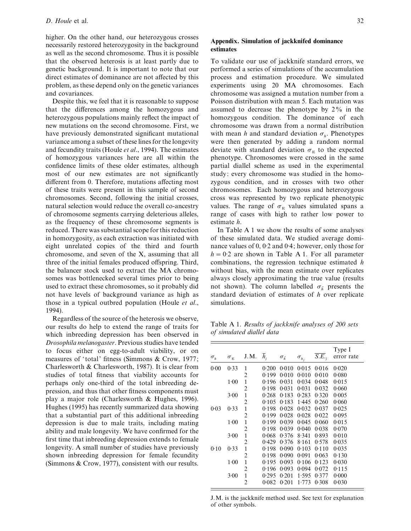higher. On the other hand, our heterozygous crosses necessarily restored heterozygosity in the background as well as the second chromosome. Thus it is possible that the observed heterosis is at least partly due to genetic background. It is important to note that our direct estimates of dominance are not affected by this problem, as these depend only on the genetic variances and covariances.

Despite this, we feel that it is reasonable to suppose that the differences among the homozygous and heterozygous populations mainly reflect the impact of new mutations on the second chromosome. First, we have previously demonstrated significant mutational variance among a subset of these lines for the longevity and fecundity traits (Houle *et al*., 1994). The estimates of homozygous variances here are all within the confidence limits of these older estimates, although most of our new estimates are not significantly different from 0. Therefore, mutations affecting most of these traits were present in this sample of second chromosomes. Second, following the initial crosses, natural selection would reduce the overall co-ancestry of chromosome segments carrying deleterious alleles, as the frequency of these chromosome segments is reduced. There was substantial scope for this reduction in homozygosity, as each extraction was initiated with eight unrelated copies of the third and fourth chromosome, and seven of the X, assuming that all three of the initial females produced offspring. Third, the balancer stock used to extract the MA chromosomes was bottlenecked several times prior to being used to extract these chromosomes, so it probably did not have levels of background variance as high as those in a typical outbred population (Houle *et al*., 1994).

Regardless of the source of the heterosis we observe, our results do help to extend the range of traits for which inbreeding depression has been observed in *Drosophila melanogaster*. Previous studies have tended to focus either on egg-to-adult viability, or on measures of 'total' fitness (Simmons & Crow, 1977; Charlesworth & Charlesworth, 1987). It is clear from studies of total fitness that viability accounts for perhaps only one-third of the total inbreeding depression, and thus that other fitness components must play a major role (Charlesworth & Hughes, 1996). Hughes (1995) has recently summarized data showing that a substantial part of this additional inbreeding depression is due to male traits, including mating ability and male longevity. We have confirmed for the first time that inbreeding depression extends to female longevity. A small number of studies have previously shown inbreeding depression for female fecundity (Simmons & Crow, 1977), consistent with our results.

## **Appendix. Simulation of jackknifed dominance estimates**

To validate our use of jackknife standard errors, we performed a series of simulations of the accumulation process and estimation procedure. We simulated experiments using 20 MA chromosomes. Each chromosome was assigned a mutation number from a Poisson distribution with mean 5. Each mutation was assumed to decrease the phenotype by 2% in the homozygous condition. The dominance of each chromosome was drawn from a normal distribution with mean *h* and standard deviation  $\sigma_h$ . Phenotypes were then generated by adding a random normal deviate with standard deviation  $\sigma_{\rm E}$  to the expected phenotype. Chromosomes were crossed in the same partial diallel scheme as used in the experimental study: every chromosome was studied in the homozygous condition, and in crosses with two other chromosomes. Each homozygous and heterozygous cross was represented by two replicate phenotypic values. The range of  $\sigma_E$  values simulated spans a range of cases with high to rather low power to estimate *h*.

In Table A 1 we show the results of some analyses of these simulated data. We studied average dominance values of  $0$ ,  $0.2$  and  $0.4$ ; however, only those for  $h = 0.2$  are shown in Table A 1. For all parameter combinations, the regression technique estimated *h* without bias, with the mean estimate over replicates always closely approximating the true value (results not shown). The column labelled  $\sigma_{\hat{h}}$  presents the standard deviation of estimates of *h* over replicate simulations.

Table A 1. *Results of jackknife analyses of 200 sets of simulated diallel data*

| $\sigma_{\scriptscriptstyle h}$ | $\sigma_{\textrm{\tiny E}}$ | J.M.           | $\overline{h}_i$ | $\sigma_{\hat{n}}$ | $\sigma_{\scriptscriptstyle h_i}$ | $\overline{S.E.},$ | Type I<br>error rate |
|---------------------------------|-----------------------------|----------------|------------------|--------------------|-----------------------------------|--------------------|----------------------|
| 0.00                            | 0.33                        | 1              | 0.200            | 0.010              | 0.015                             | 0.016              | 0.020                |
|                                 |                             | 2              | 0.199            | 0.010              | 0.010                             | 0.010              | 0.080                |
|                                 | 1.00                        | 1              | 0.196            | 0.031              | 0.034                             | 0.048              | 0.015                |
|                                 |                             | $\overline{2}$ | 0.198            | 0.031              | 0.031                             | 0.032              | 0.060                |
|                                 | 3.00                        | $\mathbf{1}$   | 0.268            | 0.183              | 0.283                             | 0.320              | 0.005                |
|                                 |                             | $\overline{2}$ | 0.105            | 0.183              | 1.445                             | 0.260              | 0.060                |
| 0.03                            | 0.33                        | $\mathbf{1}$   | 0.198            | 0.028              | 0.032                             | 0.037              | 0.025                |
|                                 |                             | $\overline{2}$ | 0.199            | 0.028              | 0.028                             | 0.022              | 0.095                |
|                                 | 1.00                        | $\mathbf{1}$   | 0.199            | 0.039              | 0.045                             | 0.060              | 0.015                |
|                                 |                             | 2              | 0.198            | 0.039              | 0.040                             | 0.038              | 0.070                |
|                                 | 3.00                        | $\mathbf{1}$   | 0.068            | 0.376              | 8.341                             | 0.893              | 0.010                |
|                                 |                             | 2              | 0.429            | 0.376              | 8.161                             | 0.578              | 0.035                |
| 0.10                            | 0.33                        | $\mathbf{1}$   | 0.198            | 0.090              | 0.103                             | 0.110              | 0.035                |
|                                 |                             | 2              | 0.198            | 0.090              | 0.091                             | 0.063              | 0.130                |
|                                 | 1.00                        | 1              | 0.195            | 0.093              | 0.106                             | 0.123              | 0.030                |
|                                 |                             | 2              | 0.196            | 0.093              | 0.094                             | 0.072              | 0.115                |
|                                 | 3.00                        | $\mathbf{1}$   | 0.295            | 0.201              | 1.595                             | 0.377              | 0.000                |
|                                 |                             | $\overline{2}$ | 0.082            | 0.201              | 1.773                             | 0.308              | 0.030                |

J.M. is the jackknife method used. See text for explanation of other symbols.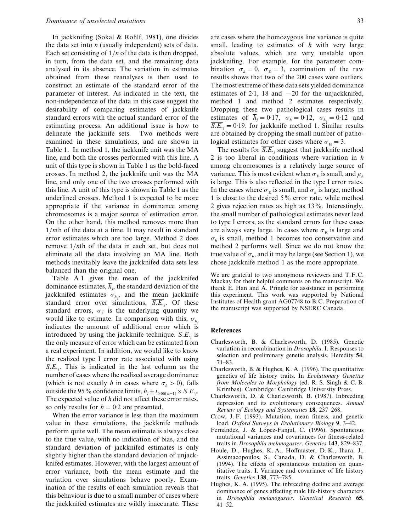In jackknifing (Sokal & Rohlf, 1981), one divides the data set into *n* (usually independent) sets of data. Each set consisting of  $1/n$  of the data is then dropped, in turn, from the data set, and the remaining data analysed in its absence. The variation in estimates obtained from these reanalyses is then used to construct an estimate of the standard error of the parameter of interest. As indicated in the text, the non-independence of the data in this case suggest the desirability of comparing estimates of jackknife standard errors with the actual standard error of the estimating process. An additional issue is how to delineate the jackknife sets. Two methods were examined in these simulations, and are shown in Table 1. In method 1, the jackknife unit was the MA line, and both the crosses performed with this line. A unit of this type is shown in Table 1 as the bold-faced crosses. In method 2, the jackknife unit was the MA line, and only one of the two crosses performed with this line. A unit of this type is shown in Table 1 as the underlined crosses. Method 1 is expected to be more appropriate if the variance in dominance among chromosomes is a major source of estimation error. On the other hand, this method removes more than 1}*n*th of the data at a time. It may result in standard error estimates which are too large. Method 2 does remove  $1/nth$  of the data in each set, but does not eliminate all the data involving an MA line. Both methods inevitably leave the jackknifed data sets less balanced than the original one.

Table A 1 gives the mean of the jackknifed dominance estimates,  $\overline{h}_j$ , the standard deviation of the jackknifed estimates  $\sigma_{h_j}$ , and the mean jackknife standard error over simulations, *S*.*E*. *j* . Of these standard errors,  $\sigma_{\hat{h}}$  is the underlying quantity we would like to estimate. In comparison with this,  $\sigma_{h_j}$  indicates the amount of additional error which is introduced by using the jackknife technique.  $\overline{S.E_{ij}}$  is the only measure of error which can be estimated from a real experiment. In addition, we would like to know the realized type I error rate associated with using *S*.*E*. *j* . This is indicated in the last column as the number of cases where the realized average dominance (which is not exactly *h* in cases where  $\sigma_h > 0$ ), falls outside the 95% confidence limits,  $h_j \pm t_{0.05[n-1]} \times S.E.,$ The expected value of *h* did not affect these error rates, so only results for  $h = 0.2$  are presented.

When the error variance is less than the maximum value in these simulations, the jackknife methods perform quite well. The mean estimate is always close to the true value, with no indication of bias, and the standard deviation of jackknifed estimates is only slightly higher than the standard deviation of unjackknifed estimates. However, with the largest amount of error variance, both the mean estimate and the variation over simulations behave poorly. Examination of the results of each simulation reveals that this behaviour is due to a small number of cases where the jackknifed estimates are wildly inaccurate. These are cases where the homozygous line variance is quite small, leading to estimates of *h* with very large absolute values, which are very unstable upon jackknifing. For example, for the parameter combination  $\sigma_h = 0$ ,  $\sigma_E = 3$ , examination of the raw results shows that two of the 200 cases were outliers. The most extreme of these data sets yielded dominance estimates of 2.1, 18 and  $-20$  for the unjackknifed, method 1 and method 2 estimates respectively. Dropping these two pathological cases results in estimates of  $\overline{h}_j = 0.17$ ,  $\sigma_h = 0.12$ ,  $\sigma_{h_j} = 0.12$  and  $\overline{S.E}_{i,j} = 0.19$ . for jackknife method 1. Similar results are obtained by dropping the small number of pathological estimates for other cases where  $\sigma_{\rm E} = 3$ .

The results for  $\overline{S.E.}$ , suggest that jackknife method 2 is too liberal in conditions where variation in *h* among chromosomes is a relatively large source of variance. This is most evident when  $\sigma_E$  is small, and  $\mu_h$  is large. This is also reflected in the type I error rates. In the cases where  $\sigma_E$  is small, and  $\sigma_h$  is large, method 1 is close to the desired 5% error rate, while method 2 gives rejection rates as high as 13%. Interestingly, the small number of pathological estimates never lead to type I errors, as the standard errors for these cases are always very large. In cases where  $\sigma_{\rm E}$  is large and  $\sigma_h$  is small, method 1 becomes too conservative and method 2 performs well. Since we do not know the true value of  $\sigma_h$ , and it may be large (see Section 1), we chose jackknife method 1 as the more appropriate.

We are grateful to two anonymous reviewers and T.F.C. Mackay for their helpful comments on the manuscript. We thank E. Han and A. Pringle for assistance in performing this experiment. This work was supported by National Institutes of Health grant AG07748 to B.C. Preparation of the manuscript was supported by NSERC Canada.

#### **References**

- Charlesworth, B. & Charlesworth, D. (1985). Genetic variation in recombination in *Drosophila*. I. Responses to selection and preliminary genetic analysis. Heredity **54**, 71–83.
- Charlesworth, B. & Hughes, K. A. (1996). The quantitative genetics of life history traits. In *Eolutionary Genetics from Molecules to Morphology* (ed. R. S. Singh & C. B. Krimbas). Cambridge: Cambridge University Press.
- Charlesworth, D. & Charlesworth, B. (1987). Inbreeding depression and its evolutionary consequences. *Annual Reiew of Ecology and Systematics* **18**, 237–268.
- Crow, J. F. (1993). Mutation, mean fitness, and genetic load. *Oxford Sureys in Eolutionary Biology* **9**, 3–42.
- Fernández, J. & López-Fanjul, C. (1996). Spontaneous mutational variances and covariances for fitness-related traits in *Drosophila melanogaster*. *Genetics* **143**, 829–837.
- Houle, D., Hughes, K. A., Hoffmaster, D. K., Ihara, J., Assimacopoulos, S., Canada, D. & Charlesworth, B. (1994). The effects of spontaneous mutation on quantitative traits. I. Variance and covariance of life history traits. *Genetics* **138**, 773–785.
- Hughes, K. A. (1995). The inbreeding decline and average dominance of genes affecting male life-history characters in *Drosophila melanogaster*. *Genetical Research* **65**, 41–52.